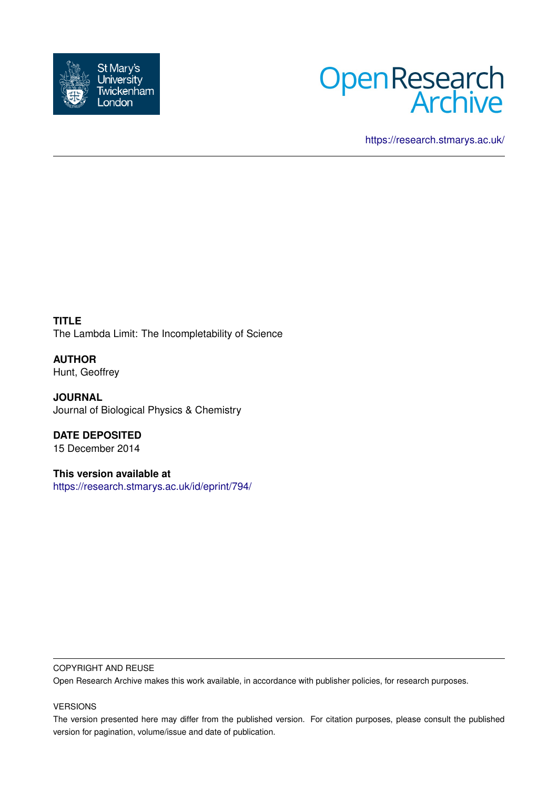



<https://research.stmarys.ac.uk/>

**TITLE** The Lambda Limit: The Incompletability of Science

**AUTHOR** Hunt, Geoffrey

**JOURNAL** Journal of Biological Physics & Chemistry

**DATE DEPOSITED** 15 December 2014

**This version available at** <https://research.stmarys.ac.uk/id/eprint/794/>

### COPYRIGHT AND REUSE

Open Research Archive makes this work available, in accordance with publisher policies, for research purposes.

### VERSIONS

The version presented here may differ from the published version. For citation purposes, please consult the published version for pagination, volume/issue and date of publication.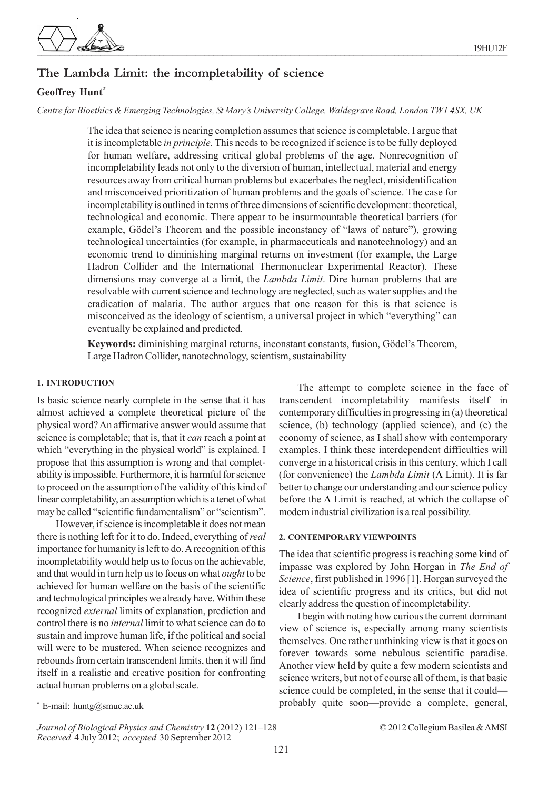

## **The Lambda Limit: the incompletability of science**

### **Geoffrey Hunt\***

*Centre for Bioethics & Emerging Technologies, St Mary's University College, Waldegrave Road, London TW1 4SX, UK*

The idea that science is nearing completion assumes that science is completable. I argue that it is incompletable *in principle.* This needs to be recognized if science is to be fully deployed for human welfare, addressing critical global problems of the age. Nonrecognition of incompletability leads not only to the diversion of human, intellectual, material and energy resources away from critical human problems but exacerbates the neglect, misidentification and misconceived prioritization of human problems and the goals of science. The case for incompletability is outlined in terms of three dimensions of scientific development: theoretical, technological and economic. There appear to be insurmountable theoretical barriers (for example, Gödel's Theorem and the possible inconstancy of "laws of nature"), growing technological uncertainties (for example, in pharmaceuticals and nanotechnology) and an economic trend to diminishing marginal returns on investment (for example, the Large Hadron Collider and the International Thermonuclear Experimental Reactor). These dimensions may converge at a limit, the *Lambda Limit*. Dire human problems that are resolvable with current science and technology are neglected, such as water supplies and the eradication of malaria. The author argues that one reason for this is that science is misconceived as the ideology of scientism, a universal project in which "everything" can eventually be explained and predicted.

**Keywords:** diminishing marginal returns, inconstant constants, fusion, Gödel's Theorem, Large Hadron Collider, nanotechnology, scientism, sustainability

#### **1. INTRODUCTION**

Is basic science nearly complete in the sense that it has almost achieved a complete theoretical picture of the physical word? An affirmative answer would assume that science is completable; that is, that it *can* reach a point at which "everything in the physical world" is explained. I propose that this assumption is wrong and that completability is impossible. Furthermore, it is harmful for science to proceed on the assumption of the validity of this kind of linear completability, an assumption which is a tenet of what may be called "scientific fundamentalism" or "scientism".

However, if science is incompletable it does not mean there is nothing left for it to do. Indeed, everything of *real* importance for humanity is left to do. A recognition of this incompletability would help us to focus on the achievable, and that would in turn help us to focus on what *ought* to be achieved for human welfare on the basis of the scientific and technological principles we already have. Within these recognized *external* limits of explanation, prediction and control there is no *internal* limit to what science can do to sustain and improve human life, if the political and social will were to be mustered. When science recognizes and rebounds from certain transcendent limits, then it will find itself in a realistic and creative position for confronting actual human problems on a global scale.

The attempt to complete science in the face of transcendent incompletability manifests itself in contemporary difficulties in progressing in (a) theoretical science, (b) technology (applied science), and (c) the economy of science, as I shall show with contemporary examples. I think these interdependent difficulties will converge in a historical crisis in this century, which I call (for convenience) the *Lambda Limit* (Λ Limit). It is far better to change our understanding and our science policy before the Λ Limit is reached, at which the collapse of modern industrial civilization is a real possibility.

### **2. CONTEMPORARY VIEWPOINTS**

The idea that scientific progress is reaching some kind of impasse was explored by John Horgan in *The End of Science*, first published in 1996 [1]. Horgan surveyed the idea of scientific progress and its critics, but did not clearly address the question of incompletability.

I begin with noting how curious the current dominant view of science is, especially among many scientists themselves. One rather unthinking view is that it goes on forever towards some nebulous scientific paradise. Another view held by quite a few modern scientists and science writers, but not of course all of them, is that basic science could be completed, in the sense that it could probably quite soon—provide a complete, general,

*Journal of Biological Physics and Chemistry* **12** (2012) 121–128 © 2012 Collegium Basilea & AMSI *Received* 4 July 2012; *accepted* 30 September 2012

 $*$  E-mail: huntg@smuc.ac.uk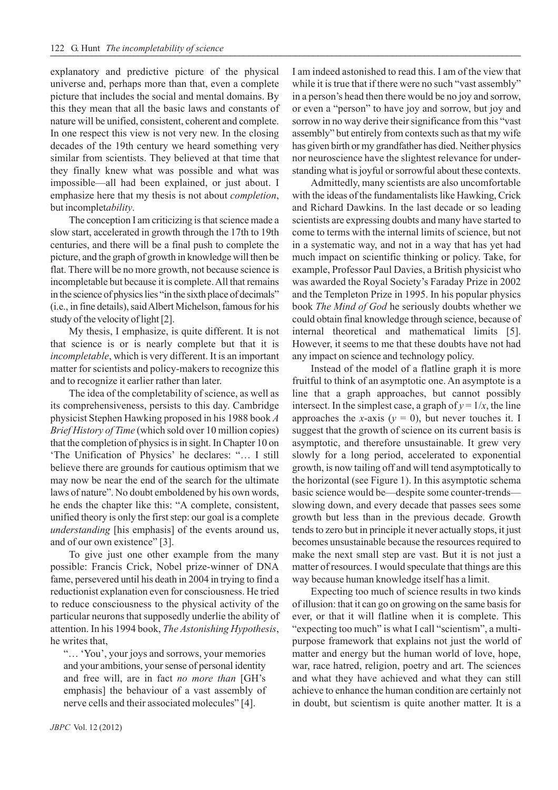explanatory and predictive picture of the physical universe and, perhaps more than that, even a complete picture that includes the social and mental domains. By this they mean that all the basic laws and constants of nature will be unified, consistent, coherent and complete. In one respect this view is not very new. In the closing decades of the 19th century we heard something very similar from scientists. They believed at that time that they finally knew what was possible and what was impossible—all had been explained, or just about. I emphasize here that my thesis is not about *completion*, but incomplet*ability*.

The conception I am criticizing is that science made a slow start, accelerated in growth through the 17th to 19th centuries, and there will be a final push to complete the picture, and the graph of growth in knowledge will then be flat. There will be no more growth, not because science is incompletable but because it is complete. All that remains in the science of physics lies "in the sixth place of decimals" (i.e., in fine details), said Albert Michelson, famous for his study of the velocity of light [2].

My thesis, I emphasize, is quite different. It is not that science is or is nearly complete but that it is *incompletable*, which is very different. It is an important matter for scientists and policy-makers to recognize this and to recognize it earlier rather than later.

The idea of the completability of science, as well as its comprehensiveness, persists to this day. Cambridge physicist Stephen Hawking proposed in his 1988 book *A Brief History of Time* (which sold over 10 million copies) that the completion of physics is in sight. In Chapter 10 on 'The Unification of Physics' he declares: "… I still believe there are grounds for cautious optimism that we may now be near the end of the search for the ultimate laws of nature". No doubt emboldened by his own words, he ends the chapter like this: "A complete, consistent, unified theory is only the first step: our goal is a complete *understanding* [his emphasis] of the events around us, and of our own existence" [3].

To give just one other example from the many possible: Francis Crick, Nobel prize-winner of DNA fame, persevered until his death in 2004 in trying to find a reductionist explanation even for consciousness. He tried to reduce consciousness to the physical activity of the particular neurons that supposedly underlie the ability of attention. In his 1994 book, *The Astonishing Hypothesis*, he writes that,

"… 'You', your joys and sorrows, your memories and your ambitions, your sense of personal identity and free will, are in fact *no more than* [GH's emphasis] the behaviour of a vast assembly of nerve cells and their associated molecules" [4].

I am indeed astonished to read this. I am of the view that while it is true that if there were no such "vast assembly" in a person's head then there would be no joy and sorrow, or even a "person" to have joy and sorrow, but joy and sorrow in no way derive their significance from this "vast assembly" but entirely from contexts such as that my wife has given birth or my grandfather has died. Neither physics nor neuroscience have the slightest relevance for understanding what is joyful or sorrowful about these contexts.

Admittedly, many scientists are also uncomfortable with the ideas of the fundamentalists like Hawking, Crick and Richard Dawkins. In the last decade or so leading scientists are expressing doubts and many have started to come to terms with the internal limits of science, but not in a systematic way, and not in a way that has yet had much impact on scientific thinking or policy. Take, for example, Professor Paul Davies, a British physicist who was awarded the Royal Society's Faraday Prize in 2002 and the Templeton Prize in 1995. In his popular physics book *The Mind of God* he seriously doubts whether we could obtain final knowledge through science, because of internal theoretical and mathematical limits [5]. However, it seems to me that these doubts have not had any impact on science and technology policy.

Instead of the model of a flatline graph it is more fruitful to think of an asymptotic one. An asymptote is a line that a graph approaches, but cannot possibly intersect. In the simplest case, a graph of  $y = 1/x$ , the line approaches the *x*-axis ( $y = 0$ ), but never touches it. I suggest that the growth of science on its current basis is asymptotic, and therefore unsustainable. It grew very slowly for a long period, accelerated to exponential growth, is now tailing off and will tend asymptotically to the horizontal (see Figure 1). In this asymptotic schema basic science would be—despite some counter-trends slowing down, and every decade that passes sees some growth but less than in the previous decade. Growth tends to zero but in principle it never actually stops, it just becomes unsustainable because the resources required to make the next small step are vast. But it is not just a matter of resources. I would speculate that things are this way because human knowledge itself has a limit.

Expecting too much of science results in two kinds of illusion: that it can go on growing on the same basis for ever, or that it will flatline when it is complete. This "expecting too much" is what I call "scientism", a multipurpose framework that explains not just the world of matter and energy but the human world of love, hope, war, race hatred, religion, poetry and art. The sciences and what they have achieved and what they can still achieve to enhance the human condition are certainly not in doubt, but scientism is quite another matter. It is a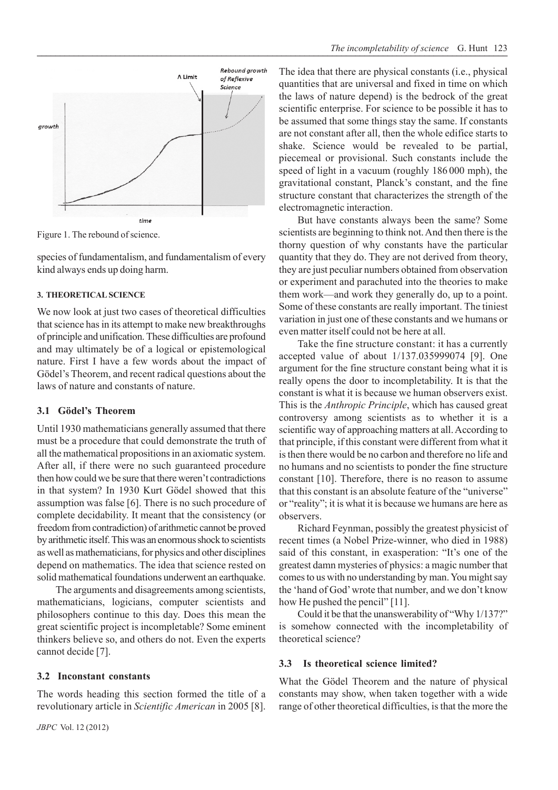

Figure 1. The rebound of science.

species of fundamentalism, and fundamentalism of every kind always ends up doing harm.

### **3. THEORETICAL SCIENCE**

We now look at just two cases of theoretical difficulties that science has in its attempt to make new breakthroughs of principle and unification. These difficulties are profound and may ultimately be of a logical or epistemological nature. First I have a few words about the impact of Gödel's Theorem, and recent radical questions about the laws of nature and constants of nature.

### **3.1 Gödel's Theorem**

Until 1930 mathematicians generally assumed that there must be a procedure that could demonstrate the truth of all the mathematical propositions in an axiomatic system. After all, if there were no such guaranteed procedure then how could we be sure that there weren't contradictions in that system? In 1930 Kurt Gödel showed that this assumption was false [6]. There is no such procedure of complete decidability. It meant that the consistency (or freedom from contradiction) of arithmetic cannot be proved by arithmetic itself. This was an enormous shock to scientists as well as mathematicians, for physics and other disciplines depend on mathematics. The idea that science rested on solid mathematical foundations underwent an earthquake.

The arguments and disagreements among scientists, mathematicians, logicians, computer scientists and philosophers continue to this day. Does this mean the great scientific project is incompletable? Some eminent thinkers believe so, and others do not. Even the experts cannot decide [7].

### **3.2 Inconstant constants**

The words heading this section formed the title of a revolutionary article in *Scientific American* in 2005 [8]. The idea that there are physical constants (i.e., physical quantities that are universal and fixed in time on which the laws of nature depend) is the bedrock of the great scientific enterprise. For science to be possible it has to be assumed that some things stay the same. If constants are not constant after all, then the whole edifice starts to shake. Science would be revealed to be partial, piecemeal or provisional. Such constants include the speed of light in a vacuum (roughly 186 000 mph), the gravitational constant, Planck's constant, and the fine structure constant that characterizes the strength of the electromagnetic interaction.

But have constants always been the same? Some scientists are beginning to think not. And then there is the thorny question of why constants have the particular quantity that they do. They are not derived from theory, they are just peculiar numbers obtained from observation or experiment and parachuted into the theories to make them work—and work they generally do, up to a point. Some of these constants are really important. The tiniest variation in just one of these constants and we humans or even matter itself could not be here at all.

Take the fine structure constant: it has a currently accepted value of about 1/137.035999074 [9]. One argument for the fine structure constant being what it is really opens the door to incompletability. It is that the constant is what it is because we human observers exist. This is the *Anthropic Principle*, which has caused great controversy among scientists as to whether it is a scientific way of approaching matters at all. According to that principle, if this constant were different from what it is then there would be no carbon and therefore no life and no humans and no scientists to ponder the fine structure constant [10]. Therefore, there is no reason to assume that this constant is an absolute feature of the "universe" or "reality"; it is what it is because we humans are here as observers.

Richard Feynman, possibly the greatest physicist of recent times (a Nobel Prize-winner, who died in 1988) said of this constant, in exasperation: "It's one of the greatest damn mysteries of physics: a magic number that comes to us with no understanding by man. You might say the 'hand of God' wrote that number, and we don't know how He pushed the pencil" [11].

Could it be that the unanswerability of "Why 1/137?" is somehow connected with the incompletability of theoretical science?

### **3.3 Is theoretical science limited?**

What the Gödel Theorem and the nature of physical constants may show, when taken together with a wide range of other theoretical difficulties, is that the more the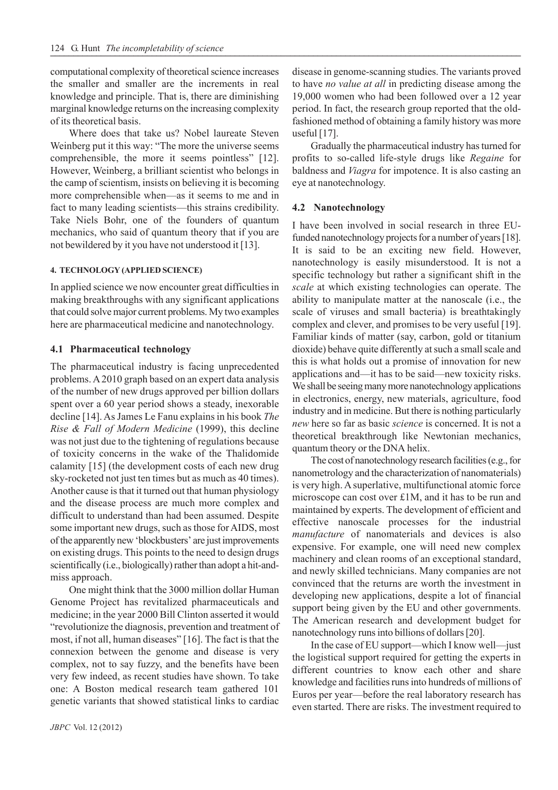computational complexity of theoretical science increases the smaller and smaller are the increments in real knowledge and principle. That is, there are diminishing marginal knowledge returns on the increasing complexity of its theoretical basis.

Where does that take us? Nobel laureate Steven Weinberg put it this way: "The more the universe seems comprehensible, the more it seems pointless" [12]. However, Weinberg, a brilliant scientist who belongs in the camp of scientism, insists on believing it is becoming more comprehensible when—as it seems to me and in fact to many leading scientists—this strains credibility. Take Niels Bohr, one of the founders of quantum mechanics, who said of quantum theory that if you are not bewildered by it you have not understood it [13].

### **4. TECHNOLOGY (APPLIED SCIENCE)**

In applied science we now encounter great difficulties in making breakthroughs with any significant applications that could solve major current problems. My two examples here are pharmaceutical medicine and nanotechnology.

### **4.1 Pharmaceutical technology**

The pharmaceutical industry is facing unprecedented problems. A 2010 graph based on an expert data analysis of the number of new drugs approved per billion dollars spent over a 60 year period shows a steady, inexorable decline [14]. As James Le Fanu explains in his book *The Rise & Fall of Modern Medicine* (1999), this decline was not just due to the tightening of regulations because of toxicity concerns in the wake of the Thalidomide calamity [15] (the development costs of each new drug sky-rocketed not just ten times but as much as 40 times). Another cause is that it turned out that human physiology and the disease process are much more complex and difficult to understand than had been assumed. Despite some important new drugs, such as those for AIDS, most of the apparently new 'blockbusters' are just improvements on existing drugs. This points to the need to design drugs scientifically (i.e., biologically) rather than adopt a hit-andmiss approach.

One might think that the 3000 million dollar Human Genome Project has revitalized pharmaceuticals and medicine; in the year 2000 Bill Clinton asserted it would "revolutionize the diagnosis, prevention and treatment of most, if not all, human diseases" [16]. The fact is that the connexion between the genome and disease is very complex, not to say fuzzy, and the benefits have been very few indeed, as recent studies have shown. To take one: A Boston medical research team gathered 101 genetic variants that showed statistical links to cardiac

disease in genome-scanning studies. The variants proved to have *no value at all* in predicting disease among the 19,000 women who had been followed over a 12 year period. In fact, the research group reported that the oldfashioned method of obtaining a family history was more useful [17].

Gradually the pharmaceutical industry has turned for profits to so-called life-style drugs like *Regaine* for baldness and *Viagra* for impotence. It is also casting an eye at nanotechnology.

### **4.2 Nanotechnology**

I have been involved in social research in three EUfunded nanotechnology projects for a number of years [18]. It is said to be an exciting new field. However, nanotechnology is easily misunderstood. It is not a specific technology but rather a significant shift in the *scale* at which existing technologies can operate. The ability to manipulate matter at the nanoscale (i.e., the scale of viruses and small bacteria) is breathtakingly complex and clever, and promises to be very useful [19]. Familiar kinds of matter (say, carbon, gold or titanium dioxide) behave quite differently at such a small scale and this is what holds out a promise of innovation for new applications and—it has to be said—new toxicity risks. We shall be seeing many more nanotechnology applications in electronics, energy, new materials, agriculture, food industry and in medicine. But there is nothing particularly *new* here so far as basic *science* is concerned. It is not a theoretical breakthrough like Newtonian mechanics, quantum theory or the DNA helix.

The cost of nanotechnology research facilities (e.g., for nanometrology and the characterization of nanomaterials) is very high. A superlative, multifunctional atomic force microscope can cost over £1M, and it has to be run and maintained by experts. The development of efficient and effective nanoscale processes for the industrial *manufacture* of nanomaterials and devices is also expensive. For example, one will need new complex machinery and clean rooms of an exceptional standard, and newly skilled technicians. Many companies are not convinced that the returns are worth the investment in developing new applications, despite a lot of financial support being given by the EU and other governments. The American research and development budget for nanotechnology runs into billions of dollars [20].

In the case of EU support—which I know well—just the logistical support required for getting the experts in different countries to know each other and share knowledge and facilities runs into hundreds of millions of Euros per year—before the real laboratory research has even started. There are risks. The investment required to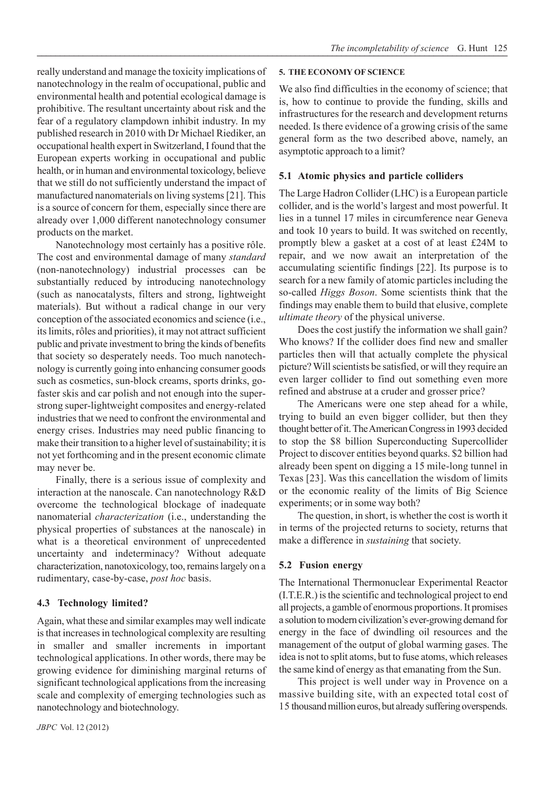really understand and manage the toxicity implications of nanotechnology in the realm of occupational, public and environmental health and potential ecological damage is prohibitive. The resultant uncertainty about risk and the fear of a regulatory clampdown inhibit industry. In my published research in 2010 with Dr Michael Riediker, an occupational health expert in Switzerland, I found that the European experts working in occupational and public health, or in human and environmental toxicology, believe that we still do not sufficiently understand the impact of manufactured nanomaterials on living systems [21]. This is a source of concern for them, especially since there are already over 1,000 different nanotechnology consumer products on the market.

Nanotechnology most certainly has a positive rôle. The cost and environmental damage of many *standard* (non-nanotechnology) industrial processes can be substantially reduced by introducing nanotechnology (such as nanocatalysts, filters and strong, lightweight materials). But without a radical change in our very conception of the associated economics and science (i.e., its limits, rôles and priorities), it may not attract sufficient public and private investment to bring the kinds of benefits that society so desperately needs. Too much nanotechnology is currently going into enhancing consumer goods such as cosmetics, sun-block creams, sports drinks, gofaster skis and car polish and not enough into the superstrong super-lightweight composites and energy-related industries that we need to confront the environmental and energy crises. Industries may need public financing to make their transition to a higher level of sustainability; it is not yet forthcoming and in the present economic climate may never be.

Finally, there is a serious issue of complexity and interaction at the nanoscale. Can nanotechnology R&D overcome the technological blockage of inadequate nanomaterial *characterization* (i.e., understanding the physical properties of substances at the nanoscale) in what is a theoretical environment of unprecedented uncertainty and indeterminacy? Without adequate characterization, nanotoxicology, too, remains largely on a rudimentary, case-by-case, *post hoc* basis.

### **4.3 Technology limited?**

Again, what these and similar examples may well indicate is that increases in technological complexity are resulting in smaller and smaller increments in important technological applications. In other words, there may be growing evidence for diminishing marginal returns of significant technological applications from the increasing scale and complexity of emerging technologies such as nanotechnology and biotechnology.

# *JBPC* Vol. 12 (2012)

### **5. THE ECONOMY OF SCIENCE**

We also find difficulties in the economy of science; that is, how to continue to provide the funding, skills and infrastructures for the research and development returns needed. Is there evidence of a growing crisis of the same general form as the two described above, namely, an asymptotic approach to a limit?

### **5.1 Atomic physics and particle colliders**

The Large Hadron Collider (LHC) is a European particle collider, and is the world's largest and most powerful. It lies in a tunnel 17 miles in circumference near Geneva and took 10 years to build. It was switched on recently, promptly blew a gasket at a cost of at least £24M to repair, and we now await an interpretation of the accumulating scientific findings [22]. Its purpose is to search for a new family of atomic particles including the so-called *Higgs Boson*. Some scientists think that the findings may enable them to build that elusive, complete *ultimate theory* of the physical universe.

Does the cost justify the information we shall gain? Who knows? If the collider does find new and smaller particles then will that actually complete the physical picture? Will scientists be satisfied, or will they require an even larger collider to find out something even more refined and abstruse at a cruder and grosser price?

The Americans were one step ahead for a while, trying to build an even bigger collider, but then they thought better of it. The American Congress in 1993 decided to stop the \$8 billion Superconducting Supercollider Project to discover entities beyond quarks. \$2 billion had already been spent on digging a 15 mile-long tunnel in Texas [23]. Was this cancellation the wisdom of limits or the economic reality of the limits of Big Science experiments; or in some way both?

The question, in short, is whether the cost is worth it in terms of the projected returns to society, returns that make a difference in *sustaining* that society.

### **5.2 Fusion energy**

The International Thermonuclear Experimental Reactor (I.T.E.R.) is the scientific and technological project to end all projects, a gamble of enormous proportions. It promises a solution to modern civilization's ever-growing demand for energy in the face of dwindling oil resources and the management of the output of global warming gases. The idea is not to split atoms, but to fuse atoms, which releases the same kind of energy as that emanating from the Sun.

This project is well under way in Provence on a massive building site, with an expected total cost of 15 thousand million euros, but already suffering overspends.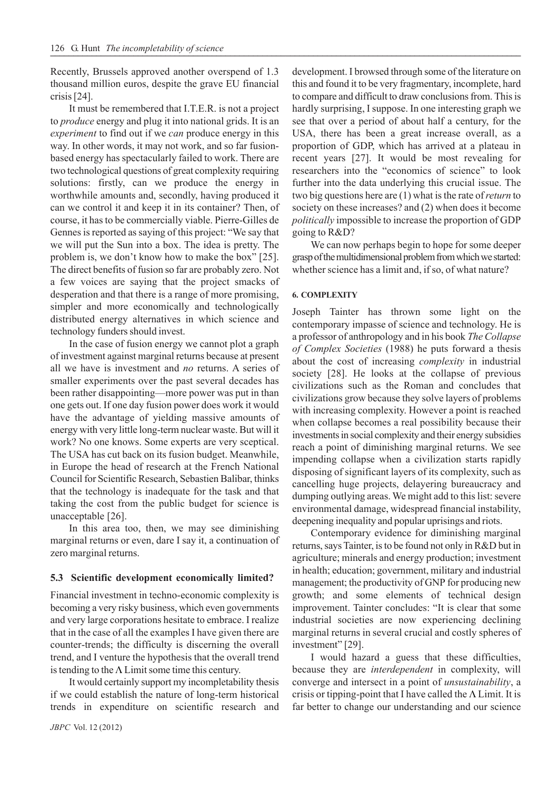Recently, Brussels approved another overspend of 1.3 thousand million euros, despite the grave EU financial crisis [24].

It must be remembered that I.T.E.R. is not a project to *produce* energy and plug it into national grids. It is an *experiment* to find out if we *can* produce energy in this way. In other words, it may not work, and so far fusionbased energy has spectacularly failed to work. There are two technological questions of great complexity requiring solutions: firstly, can we produce the energy in worthwhile amounts and, secondly, having produced it can we control it and keep it in its container? Then, of course, it has to be commercially viable. Pierre-Gilles de Gennes is reported as saying of this project: "We say that we will put the Sun into a box. The idea is pretty. The problem is, we don't know how to make the box" [25]. The direct benefits of fusion so far are probably zero. Not a few voices are saying that the project smacks of desperation and that there is a range of more promising, simpler and more economically and technologically distributed energy alternatives in which science and technology funders should invest.

In the case of fusion energy we cannot plot a graph of investment against marginal returns because at present all we have is investment and *no* returns. A series of smaller experiments over the past several decades has been rather disappointing—more power was put in than one gets out. If one day fusion power does work it would have the advantage of yielding massive amounts of energy with very little long-term nuclear waste. But will it work? No one knows. Some experts are very sceptical. The USA has cut back on its fusion budget. Meanwhile, in Europe the head of research at the French National Council for Scientific Research, Sebastien Balibar, thinks that the technology is inadequate for the task and that taking the cost from the public budget for science is unacceptable [26].

In this area too, then, we may see diminishing marginal returns or even, dare I say it, a continuation of zero marginal returns.

### **5.3 Scientific development economically limited?**

Financial investment in techno-economic complexity is becoming a very risky business, which even governments and very large corporations hesitate to embrace. I realize that in the case of all the examples I have given there are counter-trends; the difficulty is discerning the overall trend, and I venture the hypothesis that the overall trend is tending to the  $\Lambda$  Limit some time this century.

It would certainly support my incompletability thesis if we could establish the nature of long-term historical trends in expenditure on scientific research and development. I browsed through some of the literature on this and found it to be very fragmentary, incomplete, hard to compare and difficult to draw conclusions from. This is hardly surprising, I suppose. In one interesting graph we see that over a period of about half a century, for the USA, there has been a great increase overall, as a proportion of GDP, which has arrived at a plateau in recent years [27]. It would be most revealing for researchers into the "economics of science" to look further into the data underlying this crucial issue. The two big questions here are (1) what is the rate of *return* to society on these increases? and (2) when does it become *politically* impossible to increase the proportion of GDP going to R&D?

We can now perhaps begin to hope for some deeper grasp of the multidimensional problem from which we started: whether science has a limit and, if so, of what nature?

#### **6. COMPLEXITY**

Joseph Tainter has thrown some light on the contemporary impasse of science and technology. He is a professor of anthropology and in his book *The Collapse of Complex Societies* (1988) he puts forward a thesis about the cost of increasing *complexity* in industrial society [28]. He looks at the collapse of previous civilizations such as the Roman and concludes that civilizations grow because they solve layers of problems with increasing complexity. However a point is reached when collapse becomes a real possibility because their investments in social complexity and their energy subsidies reach a point of diminishing marginal returns. We see impending collapse when a civilization starts rapidly disposing of significant layers of its complexity, such as cancelling huge projects, delayering bureaucracy and dumping outlying areas. We might add to this list: severe environmental damage, widespread financial instability, deepening inequality and popular uprisings and riots.

Contemporary evidence for diminishing marginal returns, says Tainter, is to be found not only in R&D but in agriculture; minerals and energy production; investment in health; education; government, military and industrial management; the productivity of GNP for producing new growth; and some elements of technical design improvement. Tainter concludes: "It is clear that some industrial societies are now experiencing declining marginal returns in several crucial and costly spheres of investment" [29].

I would hazard a guess that these difficulties, because they are *interdependent* in complexity, will converge and intersect in a point of *unsustainability*, a crisis or tipping-point that I have called the  $\Lambda$  Limit. It is far better to change our understanding and our science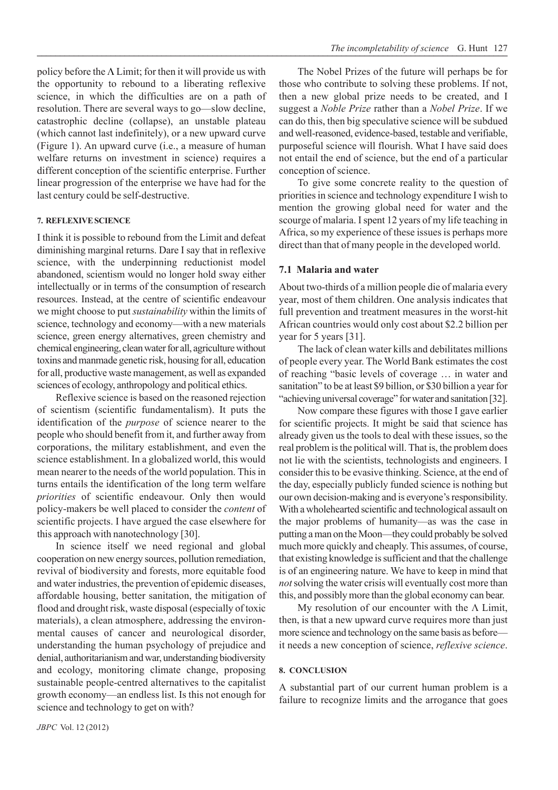policy before the  $\Lambda$  Limit; for then it will provide us with the opportunity to rebound to a liberating reflexive science, in which the difficulties are on a path of resolution. There are several ways to go—slow decline, catastrophic decline (collapse), an unstable plateau (which cannot last indefinitely), or a new upward curve (Figure 1). An upward curve (i.e., a measure of human welfare returns on investment in science) requires a different conception of the scientific enterprise. Further linear progression of the enterprise we have had for the last century could be self-destructive.

### **7. REFLEXIVE SCIENCE**

I think it is possible to rebound from the Limit and defeat diminishing marginal returns. Dare I say that in reflexive science, with the underpinning reductionist model abandoned, scientism would no longer hold sway either intellectually or in terms of the consumption of research resources. Instead, at the centre of scientific endeavour we might choose to put *sustainability* within the limits of science, technology and economy—with a new materials science, green energy alternatives, green chemistry and chemical engineering, clean water for all, agriculture without toxins and manmade genetic risk, housing for all, education for all, productive waste management, as well as expanded sciences of ecology, anthropology and political ethics.

Reflexive science is based on the reasoned rejection of scientism (scientific fundamentalism). It puts the identification of the *purpose* of science nearer to the people who should benefit from it, and further away from corporations, the military establishment, and even the science establishment. In a globalized world, this would mean nearer to the needs of the world population. This in turns entails the identification of the long term welfare *priorities* of scientific endeavour. Only then would policy-makers be well placed to consider the *content* of scientific projects. I have argued the case elsewhere for this approach with nanotechnology [30].

In science itself we need regional and global cooperation on new energy sources, pollution remediation, revival of biodiversity and forests, more equitable food and water industries, the prevention of epidemic diseases, affordable housing, better sanitation, the mitigation of flood and drought risk, waste disposal (especially of toxic materials), a clean atmosphere, addressing the environmental causes of cancer and neurological disorder, understanding the human psychology of prejudice and denial, authoritarianism and war, understanding biodiversity and ecology, monitoring climate change, proposing sustainable people-centred alternatives to the capitalist growth economy—an endless list. Is this not enough for science and technology to get on with?

The Nobel Prizes of the future will perhaps be for those who contribute to solving these problems. If not, then a new global prize needs to be created, and I suggest a *Noble Prize* rather than a *Nobel Prize*. If we can do this, then big speculative science will be subdued and well-reasoned, evidence-based, testable and verifiable, purposeful science will flourish. What I have said does not entail the end of science, but the end of a particular conception of science.

To give some concrete reality to the question of priorities in science and technology expenditure I wish to mention the growing global need for water and the scourge of malaria. I spent 12 years of my life teaching in Africa, so my experience of these issues is perhaps more direct than that of many people in the developed world.

### **7.1 Malaria and water**

About two-thirds of a million people die of malaria every year, most of them children. One analysis indicates that full prevention and treatment measures in the worst-hit African countries would only cost about \$2.2 billion per year for 5 years [31].

The lack of clean water kills and debilitates millions of people every year. The World Bank estimates the cost of reaching "basic levels of coverage … in water and sanitation" to be at least \$9 billion, or \$30 billion a year for "achieving universal coverage" for water and sanitation [32].

Now compare these figures with those I gave earlier for scientific projects. It might be said that science has already given us the tools to deal with these issues, so the real problem is the political will. That is, the problem does not lie with the scientists, technologists and engineers. I consider this to be evasive thinking. Science, at the end of the day, especially publicly funded science is nothing but our own decision-making and is everyone's responsibility. With a wholehearted scientific and technological assault on the major problems of humanity—as was the case in putting a man on the Moon—they could probably be solved much more quickly and cheaply. This assumes, of course, that existing knowledge is sufficient and that the challenge is of an engineering nature. We have to keep in mind that *not* solving the water crisis will eventually cost more than this, and possibly more than the global economy can bear.

My resolution of our encounter with the Λ Limit, then, is that a new upward curve requires more than just more science and technology on the same basis as before it needs a new conception of science, *reflexive science*.

### **8. CONCLUSION**

A substantial part of our current human problem is a failure to recognize limits and the arrogance that goes